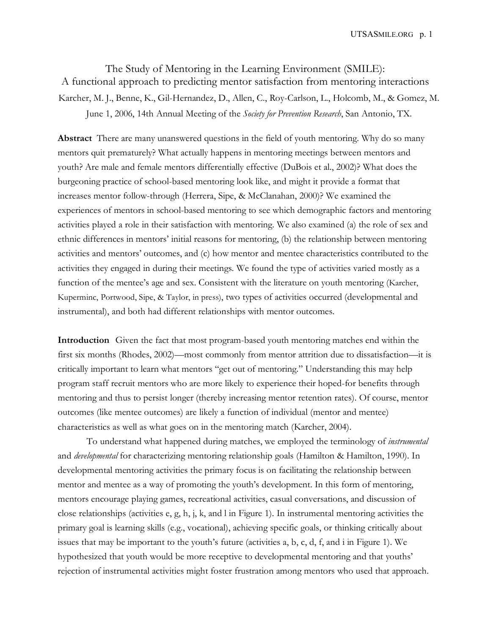The Study of Mentoring in the Learning Environment (SMILE): A functional approach to predicting mentor satisfaction from mentoring interactions Karcher, M. J., Benne, K., Gil-Hernandez, D., Allen, C., Roy-Carlson, L., Holcomb, M., & Gomez, M. June 1, 2006, 14th Annual Meeting of the *Society for Prevention Research*, San Antonio, TX.

**Abstract** There are many unanswered questions in the field of youth mentoring. Why do so many mentors quit prematurely? What actually happens in mentoring meetings between mentors and youth? Are male and female mentors differentially effective (DuBois et al., 2002)? What does the burgeoning practice of school-based mentoring look like, and might it provide a format that increases mentor follow-through (Herrera, Sipe, & McClanahan, 2000)? We examined the experiences of mentors in school-based mentoring to see which demographic factors and mentoring activities played a role in their satisfaction with mentoring. We also examined (a) the role of sex and ethnic differences in mentors' initial reasons for mentoring, (b) the relationship between mentoring activities and mentors' outcomes, and (c) how mentor and mentee characteristics contributed to the activities they engaged in during their meetings. We found the type of activities varied mostly as a function of the mentee's age and sex. Consistent with the literature on youth mentoring (Karcher, Kuperminc, Portwood, Sipe, & Taylor, in press), two types of activities occurred (developmental and instrumental), and both had different relationships with mentor outcomes.

**Introduction** Given the fact that most program-based youth mentoring matches end within the first six months (Rhodes, 2002)—most commonly from mentor attrition due to dissatisfaction—it is critically important to learn what mentors "get out of mentoring." Understanding this may help program staff recruit mentors who are more likely to experience their hoped-for benefits through mentoring and thus to persist longer (thereby increasing mentor retention rates). Of course, mentor outcomes (like mentee outcomes) are likely a function of individual (mentor and mentee) characteristics as well as what goes on in the mentoring match (Karcher, 2004).

To understand what happened during matches, we employed the terminology of *instrumental* and *developmental* for characterizing mentoring relationship goals (Hamilton & Hamilton, 1990). In developmental mentoring activities the primary focus is on facilitating the relationship between mentor and mentee as a way of promoting the youth's development. In this form of mentoring, mentors encourage playing games, recreational activities, casual conversations, and discussion of close relationships (activities e, g, h, j, k, and l in Figure 1). In instrumental mentoring activities the primary goal is learning skills (e.g., vocational), achieving specific goals, or thinking critically about issues that may be important to the youth's future (activities a, b, c, d, f, and i in Figure 1). We hypothesized that youth would be more receptive to developmental mentoring and that youths' rejection of instrumental activities might foster frustration among mentors who used that approach.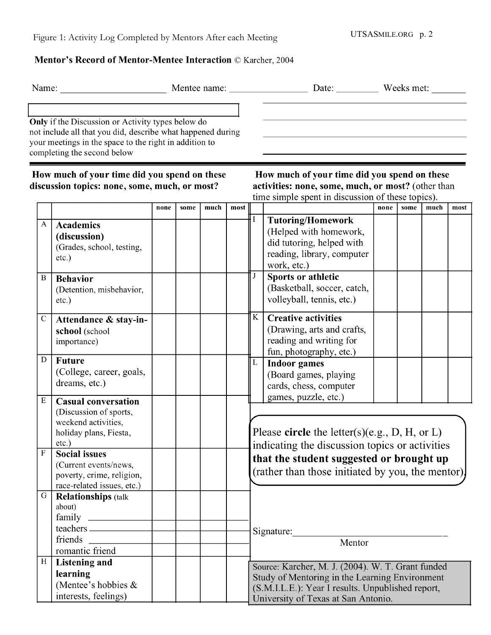## Mentor's Record of Mentor-Mentee Interaction © Karcher, 2004

| Name:        |                                                                                                                                                                                                           |      |      |      |      |             |                                                                                                                                                                                                 |                                                   |      |      |      |  |
|--------------|-----------------------------------------------------------------------------------------------------------------------------------------------------------------------------------------------------------|------|------|------|------|-------------|-------------------------------------------------------------------------------------------------------------------------------------------------------------------------------------------------|---------------------------------------------------|------|------|------|--|
|              | Only if the Discussion or Activity types below do<br>not include all that you did, describe what happened during<br>your meetings in the space to the right in addition to<br>completing the second below |      |      |      |      |             |                                                                                                                                                                                                 |                                                   |      |      |      |  |
|              | How much of your time did you spend on these<br>discussion topics: none, some, much, or most?                                                                                                             |      |      |      |      |             | How much of your time did you spend on these<br>activities: none, some, much, or most? (other than<br>time simple spent in discussion of these topics).                                         |                                                   |      |      |      |  |
|              |                                                                                                                                                                                                           | none | some | much | most |             |                                                                                                                                                                                                 | none                                              | some | much | most |  |
| A            | <b>Academics</b><br>(discussion)<br>(Grades, school, testing,<br>etc.)                                                                                                                                    |      |      |      |      |             | <b>Tutoring/Homework</b><br>(Helped with homework,<br>did tutoring, helped with<br>reading, library, computer<br>work, etc.)                                                                    |                                                   |      |      |      |  |
| B            | <b>Behavior</b><br>(Detention, misbehavior,<br>etc.)                                                                                                                                                      |      |      |      |      |             | <b>Sports or athletic</b><br>(Basketball, soccer, catch,<br>volleyball, tennis, etc.)                                                                                                           |                                                   |      |      |      |  |
| $\mathsf{C}$ | Attendance & stay-in-<br>school (school<br>importance)                                                                                                                                                    |      |      |      |      | K           | <b>Creative activities</b><br>(Drawing, arts and crafts,<br>reading and writing for<br>fun, photography, etc.)                                                                                  |                                                   |      |      |      |  |
| D            | <b>Future</b><br>(College, career, goals,<br>dreams, etc.)                                                                                                                                                |      |      |      |      | $\mathbf L$ | <b>Indoor games</b><br>(Board games, playing<br>cards, chess, computer<br>games, puzzle, etc.)                                                                                                  |                                                   |      |      |      |  |
| Ε<br>F       | <b>Casual conversation</b><br>(Discussion of sports,<br>weekend activities,<br>holiday plans, Fiesta,<br>$etc.$ )<br><b>Social issues</b><br>(Current events/news,<br>poverty, crime, religion,           |      |      |      |      |             | Please circle the letter(s)(e.g., D, H, or L)<br>indicating the discussion topics or activities<br>that the student suggested or brought up                                                     | (rather than those initiated by you, the mentor). |      |      |      |  |
| G            | race-related issues, etc.)<br><b>Relationships (talk</b><br>about)<br>friends<br>romantic friend                                                                                                          |      |      |      |      |             | Signature: Mentor                                                                                                                                                                               |                                                   |      |      |      |  |
| $\, {\rm H}$ | Listening and<br>learning<br>(Mentee's hobbies &<br>interests, feelings)                                                                                                                                  |      |      |      |      |             | Source: Karcher, M. J. (2004). W. T. Grant funded<br>Study of Mentoring in the Learning Environment<br>(S.M.I.L.E.): Year I results. Unpublished report,<br>University of Texas at San Antonio. |                                                   |      |      |      |  |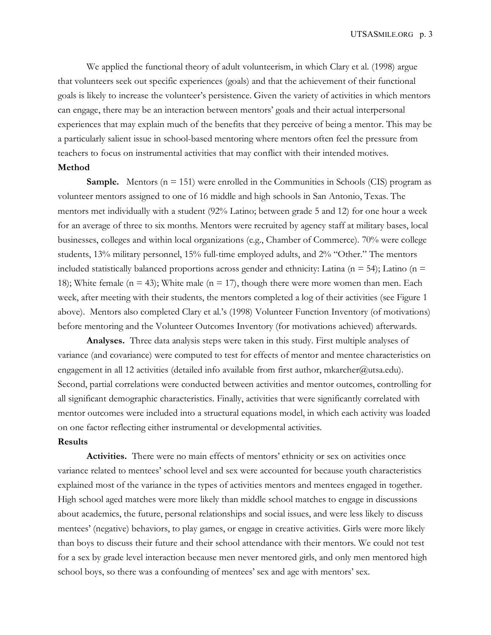We applied the functional theory of adult volunteerism, in which Clary et al. (1998) argue that volunteers seek out specific experiences (goals) and that the achievement of their functional goals is likely to increase the volunteer's persistence. Given the variety of activities in which mentors can engage, there may be an interaction between mentors' goals and their actual interpersonal experiences that may explain much of the benefits that they perceive of being a mentor. This may be a particularly salient issue in school-based mentoring where mentors often feel the pressure from teachers to focus on instrumental activities that may conflict with their intended motives.

## **Method**

**Sample.** Mentors ( $n = 151$ ) were enrolled in the Communities in Schools (CIS) program as volunteer mentors assigned to one of 16 middle and high schools in San Antonio, Texas. The mentors met individually with a student (92% Latino; between grade 5 and 12) for one hour a week for an average of three to six months. Mentors were recruited by agency staff at military bases, local businesses, colleges and within local organizations (e.g., Chamber of Commerce). 70% were college students, 13% military personnel, 15% full-time employed adults, and 2% "Other." The mentors included statistically balanced proportions across gender and ethnicity: Latina ( $n = 54$ ); Latino ( $n =$ 18); White female (n = 43); White male (n = 17), though there were more women than men. Each week, after meeting with their students, the mentors completed a log of their activities (see Figure 1 above). Mentors also completed Clary et al.'s (1998) Volunteer Function Inventory (of motivations) before mentoring and the Volunteer Outcomes Inventory (for motivations achieved) afterwards.

**Analyses.** Three data analysis steps were taken in this study. First multiple analyses of variance (and covariance) were computed to test for effects of mentor and mentee characteristics on engagement in all 12 activities (detailed info available from first author, mkarcher@utsa.edu). Second, partial correlations were conducted between activities and mentor outcomes, controlling for all significant demographic characteristics. Finally, activities that were significantly correlated with mentor outcomes were included into a structural equations model, in which each activity was loaded on one factor reflecting either instrumental or developmental activities.

## **Results**

**Activities.** There were no main effects of mentors' ethnicity or sex on activities once variance related to mentees' school level and sex were accounted for because youth characteristics explained most of the variance in the types of activities mentors and mentees engaged in together. High school aged matches were more likely than middle school matches to engage in discussions about academics, the future, personal relationships and social issues, and were less likely to discuss mentees' (negative) behaviors, to play games, or engage in creative activities. Girls were more likely than boys to discuss their future and their school attendance with their mentors. We could not test for a sex by grade level interaction because men never mentored girls, and only men mentored high school boys, so there was a confounding of mentees' sex and age with mentors' sex.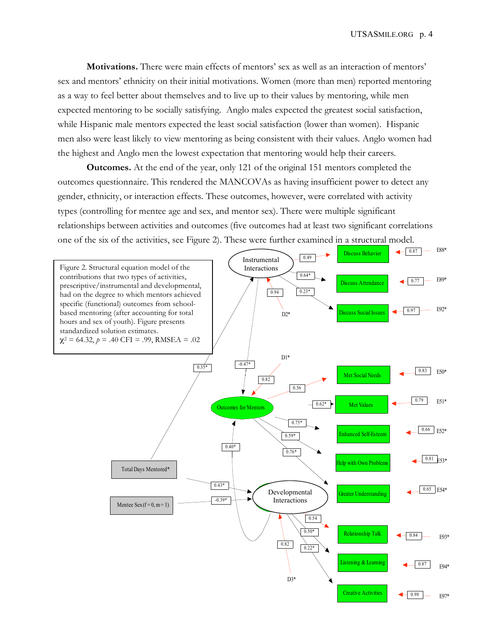**Motivations.** There were main effects of mentors' sex as well as an interaction of mentors' sex and mentors' ethnicity on their initial motivations. Women (more than men) reported mentoring as a way to feel better about themselves and to live up to their values by mentoring, while men expected mentoring to be socially satisfying. Anglo males expected the greatest social satisfaction, while Hispanic male mentors expected the least social satisfaction (lower than women). Hispanic men also were least likely to view mentoring as being consistent with their values. Anglo women had the highest and Anglo men the lowest expectation that mentoring would help their careers.

**Outcomes.** At the end of the year, only 121 of the original 151 mentors completed the outcomes questionnaire. This rendered the MANCOVAs as having insufficient power to detect any gender, ethnicity, or interaction effects. These outcomes, however, were correlated with activity types (controlling for mentee age and sex, and mentor sex). There were multiple significant relationships between activities and outcomes (five outcomes had at least two significant correlations one of the six of the activities, see Figure 2). These were further examined in a structural model.

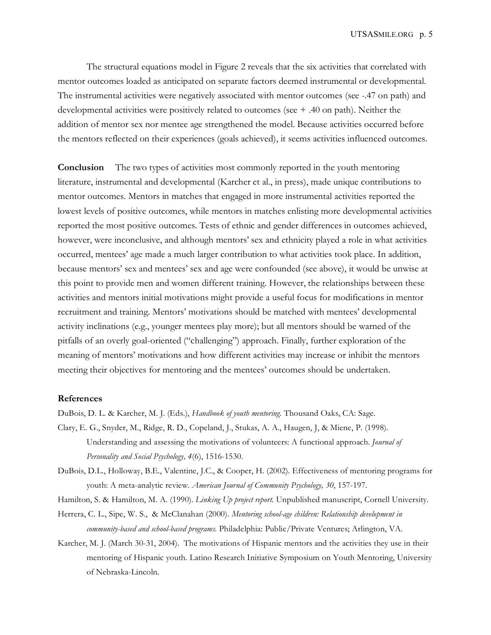The structural equations model in Figure 2 reveals that the six activities that correlated with mentor outcomes loaded as anticipated on separate factors deemed instrumental or developmental. The instrumental activities were negatively associated with mentor outcomes (see -.47 on path) and developmental activities were positively related to outcomes (see + .40 on path). Neither the addition of mentor sex nor mentee age strengthened the model. Because activities occurred before the mentors reflected on their experiences (goals achieved), it seems activities influenced outcomes.

**Conclusion** The two types of activities most commonly reported in the youth mentoring literature, instrumental and developmental (Karcher et al., in press), made unique contributions to mentor outcomes. Mentors in matches that engaged in more instrumental activities reported the lowest levels of positive outcomes, while mentors in matches enlisting more developmental activities reported the most positive outcomes. Tests of ethnic and gender differences in outcomes achieved, however, were inconclusive, and although mentors' sex and ethnicity played a role in what activities occurred, mentees' age made a much larger contribution to what activities took place. In addition, because mentors' sex and mentees' sex and age were confounded (see above), it would be unwise at this point to provide men and women different training. However, the relationships between these activities and mentors initial motivations might provide a useful focus for modifications in mentor recruitment and training. Mentors' motivations should be matched with mentees' developmental activity inclinations (e.g., younger mentees play more); but all mentors should be warned of the pitfalls of an overly goal-oriented ("challenging") approach. Finally, further exploration of the meaning of mentors' motivations and how different activities may increase or inhibit the mentors meeting their objectives for mentoring and the mentees' outcomes should be undertaken.

## **References**

DuBois, D. L. & Karcher, M. J. (Eds.), *Handbook of youth mentoring.* Thousand Oaks, CA: Sage.

- Clary, E. G., Snyder, M., Ridge, R. D., Copeland, J., Stukas, A. A., Haugen, J, & Miene, P. (1998). Understanding and assessing the motivations of volunteers: A functional approach. *Journal of Personality and Social Psychology, 4*(6), 1516-1530.
- DuBois, D.L., Holloway, B.E., Valentine, J.C., & Cooper, H. (2002). Effectiveness of mentoring programs for youth: A meta-analytic review. *American Journal of Community Psychology, 30*, 157-197.
- Hamilton, S. & Hamilton, M. A. (1990). *Linking Up project report.* Unpublished manuscript, Cornell University.
- Herrera, C. L., Sipe, W. S., & McClanahan (2000). *Mentoring school-age children: Relationship development in community-based and school-based programs*. Philadelphia: Public/Private Ventures; Arlington, VA.
- Karcher, M. J. (March 30-31, 2004). The motivations of Hispanic mentors and the activities they use in their mentoring of Hispanic youth. Latino Research Initiative Symposium on Youth Mentoring, University of Nebraska-Lincoln.